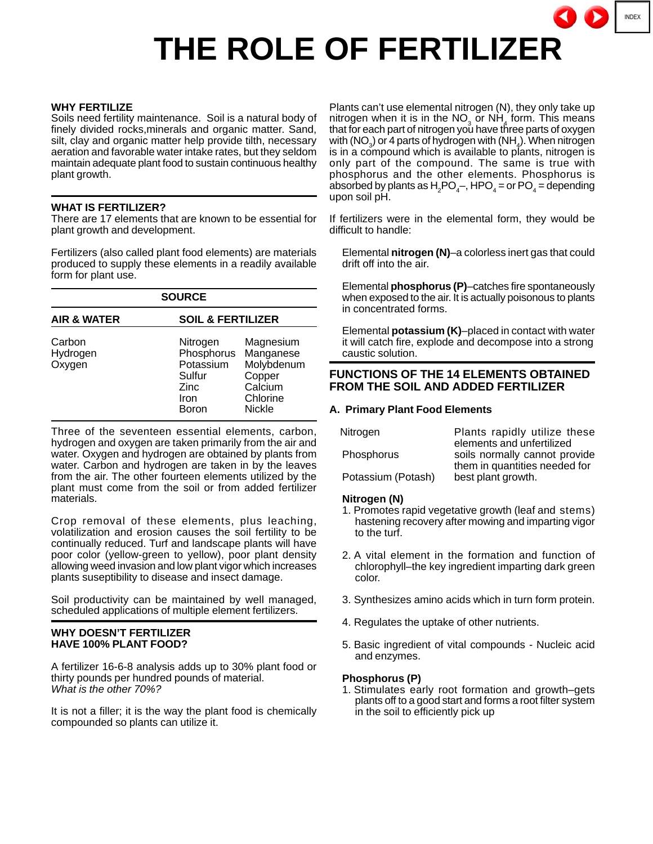# INDEX

# **THE ROLE OF FERTILIZER**

#### **WHY FERTILIZE**

Soils need fertility maintenance. Soil is a natural body of finely divided rocks,minerals and organic matter. Sand, silt, clay and organic matter help provide tilth, necessary aeration and favorable water intake rates, but they seldom maintain adequate plant food to sustain continuous healthy plant growth.

#### **WHAT IS FERTILIZER?**

There are 17 elements that are known to be essential for plant growth and development.

Fertilizers (also called plant food elements) are materials produced to supply these elements in a readily available form for plant use.

| <b>SOURCE</b>                |                                                                        |                                                                                        |
|------------------------------|------------------------------------------------------------------------|----------------------------------------------------------------------------------------|
| <b>AIR &amp; WATER</b>       | <b>SOIL &amp; FERTILIZER</b>                                           |                                                                                        |
| Carbon<br>Hydrogen<br>Oxygen | Nitrogen<br>Phosphorus<br>Potassium<br>Sulfur<br>Zinc<br>Iron<br>Boron | Magnesium<br>Manganese<br>Molybdenum<br>Copper<br>Calcium<br>Chlorine<br><b>Nickle</b> |

Three of the seventeen essential elements, carbon, hydrogen and oxygen are taken primarily from the air and water. Oxygen and hydrogen are obtained by plants from water. Carbon and hydrogen are taken in by the leaves from the air. The other fourteen elements utilized by the plant must come from the soil or from added fertilizer materials.

Crop removal of these elements, plus leaching, volatilization and erosion causes the soil fertility to be continually reduced. Turf and landscape plants will have poor color (yellow-green to yellow), poor plant density allowing weed invasion and low plant vigor which increases plants suseptibility to disease and insect damage.

Soil productivity can be maintained by well managed, scheduled applications of multiple element fertilizers.

#### **WHY DOESN'T FERTILIZER HAVE 100% PLANT FOOD?**

A fertilizer 16-6-8 analysis adds up to 30% plant food or thirty pounds per hundred pounds of material. What is the other 70%?

It is not a filler; it is the way the plant food is chemically compounded so plants can utilize it.

Plants can't use elemental nitrogen (N), they only take up nitrogen when it is in the NO<sub>3</sub> or NH<sub>4</sub> form. This means that for each part of nitrogen you have three parts of oxygen with (NO<sub>3</sub>) or 4 parts of hydrogen with (NH<sub>4</sub>). When nitrogen is in a compound which is available to plants, nitrogen is only part of the compound. The same is true with phosphorus and the other elements. Phosphorus is absorbed by plants as  $H_2PO_4^-$ , HPO $_4$  = or PO $_4$  = depending upon soil pH.

If fertilizers were in the elemental form, they would be difficult to handle:

Elemental **nitrogen (N)**–a colorless inert gas that could drift off into the air.

Elemental **phosphorus (P)**–catches fire spontaneously when exposed to the air. It is actually poisonous to plants in concentrated forms.

Elemental **potassium (K)**–placed in contact with water it will catch fire, explode and decompose into a strong caustic solution.

# **FUNCTIONS OF THE 14 ELEMENTS OBTAINED FROM THE SOIL AND ADDED FERTILIZER**

#### **A. Primary Plant Food Elements**

| Nitrogen           | Plants rapidly utilize these<br>elements and unfertilized      |  |
|--------------------|----------------------------------------------------------------|--|
| Phosphorus         | soils normally cannot provide<br>them in quantities needed for |  |
| Potassium (Potash) | best plant growth.                                             |  |

#### **Nitrogen (N)**

- 1. Promotes rapid vegetative growth (leaf and stems) hastening recovery after mowing and imparting vigor to the turf.
- 2. A vital element in the formation and function of chlorophyll–the key ingredient imparting dark green color.
- 3. Synthesizes amino acids which in turn form protein.
- 4. Regulates the uptake of other nutrients.
- 5. Basic ingredient of vital compounds Nucleic acid and enzymes.

#### **Phosphorus (P)**

1. Stimulates early root formation and growth–gets plants off to a good start and forms a root filter system in the soil to efficiently pick up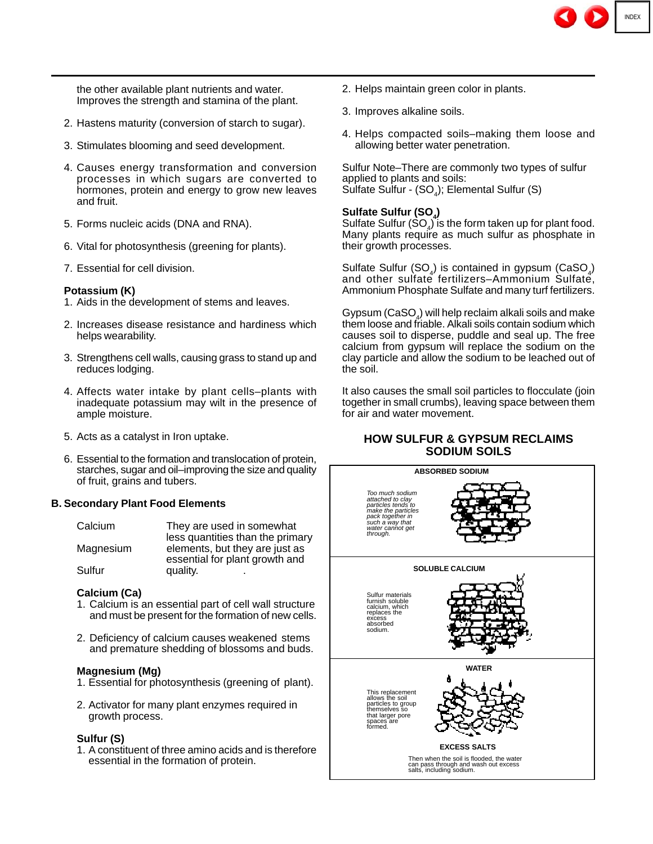the other available plant nutrients and water. Improves the strength and stamina of the plant.

- 2. Hastens maturity (conversion of starch to sugar).
- 3. Stimulates blooming and seed development.
- 4. Causes energy transformation and conversion processes in which sugars are converted to hormones, protein and energy to grow new leaves and fruit.
- 5. Forms nucleic acids (DNA and RNA).
- 6. Vital for photosynthesis (greening for plants).
- 7. Essential for cell division.

#### **Potassium (K)**

- 1. Aids in the development of stems and leaves.
- 2. Increases disease resistance and hardiness which helps wearability.
- 3. Strengthens cell walls, causing grass to stand up and reduces lodging.
- 4. Affects water intake by plant cells–plants with inadequate potassium may wilt in the presence of ample moisture.
- 5. Acts as a catalyst in Iron uptake.
- 6. Essential to the formation and translocation of protein, starches, sugar and oil–improving the size and quality of fruit, grains and tubers.

#### **B. Secondary Plant Food Elements**

| Calcium   | They are used in somewhat<br>less quantities than the primary    |
|-----------|------------------------------------------------------------------|
| Magnesium | elements, but they are just as<br>essential for plant growth and |
| Sulfur    | quality.<br>٠                                                    |

#### **Calcium (Ca)**

- 1. Calcium is an essential part of cell wall structure and must be present for the formation of new cells.
- 2. Deficiency of calcium causes weakened stems and premature shedding of blossoms and buds.

#### **Magnesium (Mg)**

- 1. Essential for photosynthesis (greening of plant).
- 2. Activator for many plant enzymes required in growth process.

#### **Sulfur (S)**

1. A constituent of three amino acids and is therefore essential in the formation of protein.

- 2. Helps maintain green color in plants.
- 3. Improves alkaline soils.
- 4. Helps compacted soils–making them loose and allowing better water penetration.

Sulfur Note–There are commonly two types of sulfur applied to plants and soils: Sulfate Sulfur -  $(SO_4)$ ; Elemental Sulfur  $(S)$ 

#### Sulfate Sulfur (SO<sub>.</sub>)

Sulfate Sulfur  $(SO_4)$  is the form taken up for plant food. Many plants require as much sulfur as phosphate in their growth processes.

Sulfate Sulfur  $(SO_4)$  is contained in gypsum  $(CaSO_4)$ and other sulfate fertilizers–Ammonium Sulfate, Ammonium Phosphate Sulfate and many turf fertilizers.

Gypsum (CaSO $_A$ ) will help reclaim alkali soils and make them loose and friable. Alkali soils contain sodium which causes soil to disperse, puddle and seal up. The free calcium from gypsum will replace the sodium on the clay particle and allow the sodium to be leached out of the soil.

It also causes the small soil particles to flocculate (join together in small crumbs), leaving space between them for air and water movement.

# **HOW SULFUR & GYPSUM RECLAIMS SODIUM SOILS**